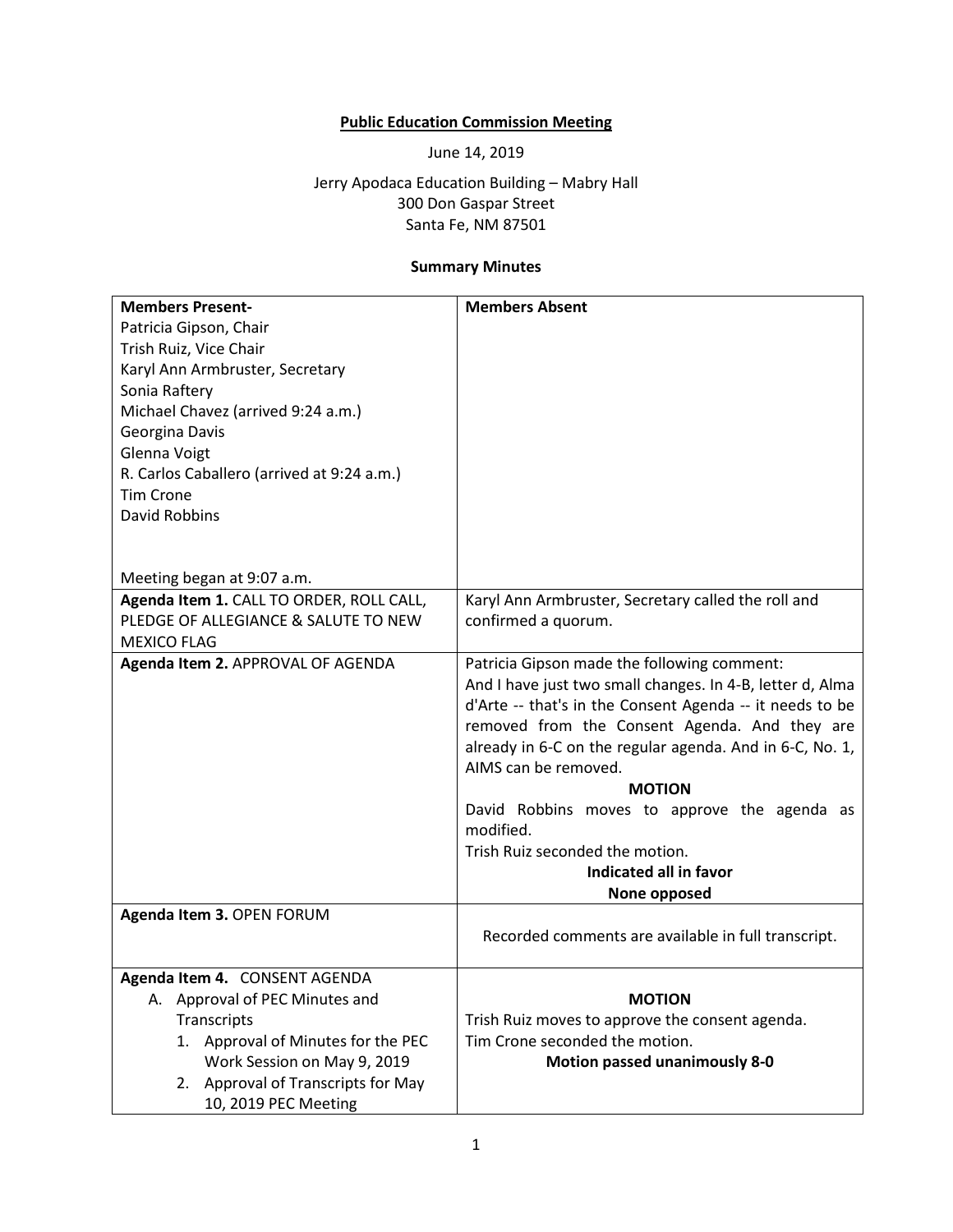## **Public Education Commission Meeting**

June 14, 2019

Jerry Apodaca Education Building – Mabry Hall 300 Don Gaspar Street Santa Fe, NM 87501

## **Summary Minutes**

| <b>Members Present-</b>                    | <b>Members Absent</b>                                     |
|--------------------------------------------|-----------------------------------------------------------|
| Patricia Gipson, Chair                     |                                                           |
| Trish Ruiz, Vice Chair                     |                                                           |
| Karyl Ann Armbruster, Secretary            |                                                           |
| Sonia Raftery                              |                                                           |
| Michael Chavez (arrived 9:24 a.m.)         |                                                           |
| Georgina Davis                             |                                                           |
| Glenna Voigt                               |                                                           |
| R. Carlos Caballero (arrived at 9:24 a.m.) |                                                           |
| <b>Tim Crone</b>                           |                                                           |
| David Robbins                              |                                                           |
|                                            |                                                           |
|                                            |                                                           |
| Meeting began at 9:07 a.m.                 |                                                           |
| Agenda Item 1. CALL TO ORDER, ROLL CALL,   | Karyl Ann Armbruster, Secretary called the roll and       |
| PLEDGE OF ALLEGIANCE & SALUTE TO NEW       | confirmed a quorum.                                       |
| <b>MEXICO FLAG</b>                         |                                                           |
| Agenda Item 2. APPROVAL OF AGENDA          | Patricia Gipson made the following comment:               |
|                                            | And I have just two small changes. In 4-B, letter d, Alma |
|                                            | d'Arte -- that's in the Consent Agenda -- it needs to be  |
|                                            | removed from the Consent Agenda. And they are             |
|                                            | already in 6-C on the regular agenda. And in 6-C, No. 1,  |
|                                            | AIMS can be removed.                                      |
|                                            | <b>MOTION</b>                                             |
|                                            | David Robbins moves to approve the agenda as              |
|                                            | modified.                                                 |
|                                            | Trish Ruiz seconded the motion.                           |
|                                            | Indicated all in favor                                    |
|                                            | None opposed                                              |
| Agenda Item 3. OPEN FORUM                  |                                                           |
|                                            | Recorded comments are available in full transcript.       |
|                                            |                                                           |
| Agenda Item 4. CONSENT AGENDA              |                                                           |
| A. Approval of PEC Minutes and             | <b>MOTION</b>                                             |
| Transcripts                                | Trish Ruiz moves to approve the consent agenda.           |
| 1. Approval of Minutes for the PEC         | Tim Crone seconded the motion.                            |
| Work Session on May 9, 2019                | <b>Motion passed unanimously 8-0</b>                      |
| 2. Approval of Transcripts for May         |                                                           |
| 10, 2019 PEC Meeting                       |                                                           |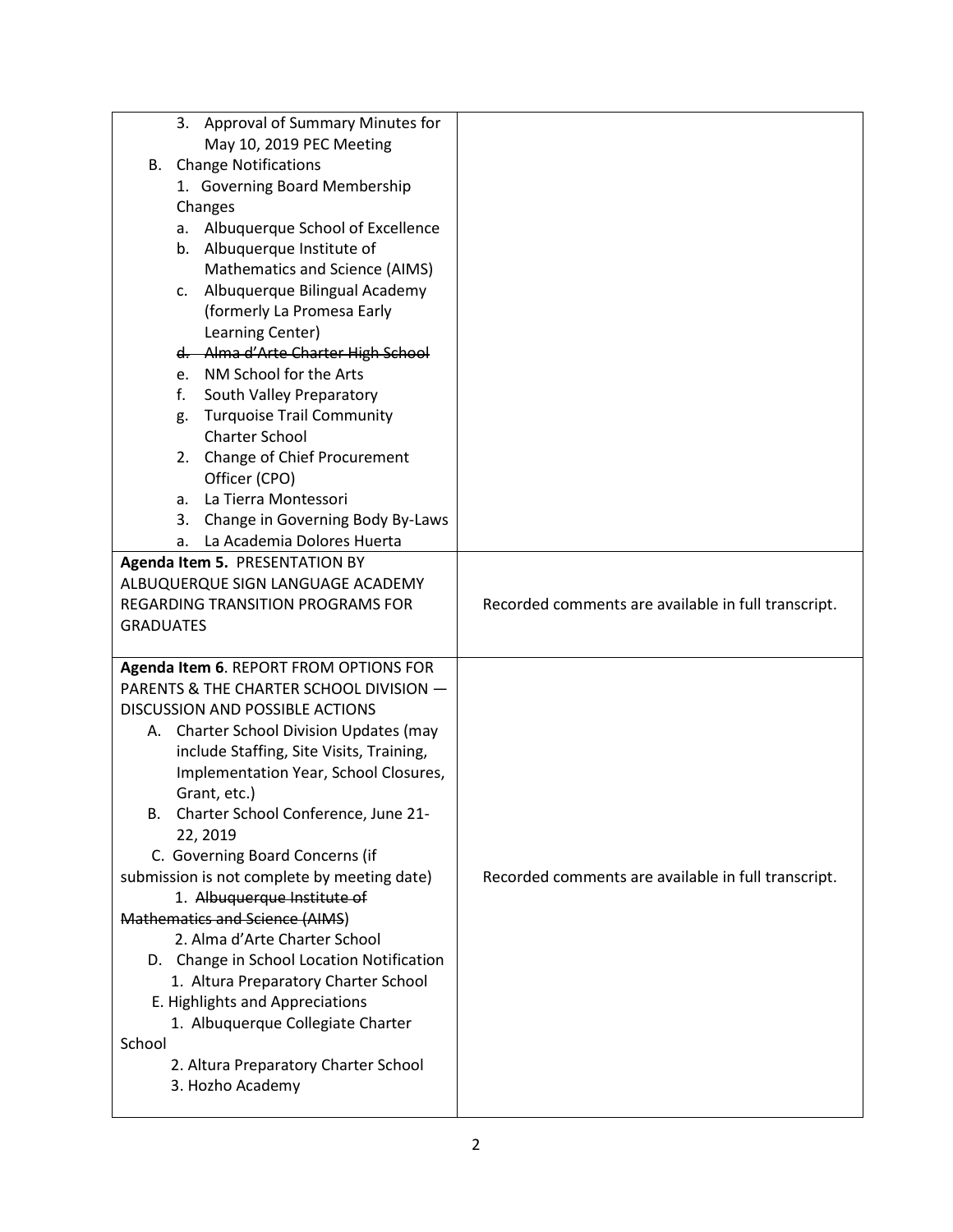| Approval of Summary Minutes for<br>3.                                             |                                                     |
|-----------------------------------------------------------------------------------|-----------------------------------------------------|
| May 10, 2019 PEC Meeting                                                          |                                                     |
| <b>B.</b> Change Notifications                                                    |                                                     |
| 1. Governing Board Membership                                                     |                                                     |
| Changes                                                                           |                                                     |
| Albuquerque School of Excellence<br>a.                                            |                                                     |
| b. Albuquerque Institute of                                                       |                                                     |
| Mathematics and Science (AIMS)                                                    |                                                     |
| Albuquerque Bilingual Academy<br>c.                                               |                                                     |
| (formerly La Promesa Early                                                        |                                                     |
| Learning Center)                                                                  |                                                     |
| d. Alma d'Arte Charter High School                                                |                                                     |
| e. NM School for the Arts                                                         |                                                     |
| f.<br>South Valley Preparatory                                                    |                                                     |
| <b>Turquoise Trail Community</b><br>g.                                            |                                                     |
| <b>Charter School</b>                                                             |                                                     |
| 2. Change of Chief Procurement                                                    |                                                     |
| Officer (CPO)                                                                     |                                                     |
| La Tierra Montessori<br>a.                                                        |                                                     |
| Change in Governing Body By-Laws<br>3.                                            |                                                     |
| La Academia Dolores Huerta<br>a.                                                  |                                                     |
| Agenda Item 5. PRESENTATION BY                                                    |                                                     |
| ALBUQUERQUE SIGN LANGUAGE ACADEMY                                                 |                                                     |
| REGARDING TRANSITION PROGRAMS FOR                                                 | Recorded comments are available in full transcript. |
| <b>GRADUATES</b>                                                                  |                                                     |
|                                                                                   |                                                     |
| Agenda Item 6. REPORT FROM OPTIONS FOR<br>PARENTS & THE CHARTER SCHOOL DIVISION - |                                                     |
| DISCUSSION AND POSSIBLE ACTIONS                                                   |                                                     |
| A. Charter School Division Updates (may                                           |                                                     |
| include Staffing, Site Visits, Training,                                          |                                                     |
| Implementation Year, School Closures,                                             |                                                     |
| Grant, etc.)                                                                      |                                                     |
| Charter School Conference, June 21-<br>в.                                         |                                                     |
| 22, 2019                                                                          |                                                     |
| C. Governing Board Concerns (if                                                   |                                                     |
| submission is not complete by meeting date)                                       | Recorded comments are available in full transcript. |
| 1. Albuquerque Institute of                                                       |                                                     |
| Mathematics and Science (AIMS)                                                    |                                                     |
| 2. Alma d'Arte Charter School                                                     |                                                     |
| D. Change in School Location Notification                                         |                                                     |
| 1. Altura Preparatory Charter School                                              |                                                     |
| E. Highlights and Appreciations                                                   |                                                     |
| 1. Albuquerque Collegiate Charter                                                 |                                                     |
| School                                                                            |                                                     |
| 2. Altura Preparatory Charter School                                              |                                                     |
| 3. Hozho Academy                                                                  |                                                     |
|                                                                                   |                                                     |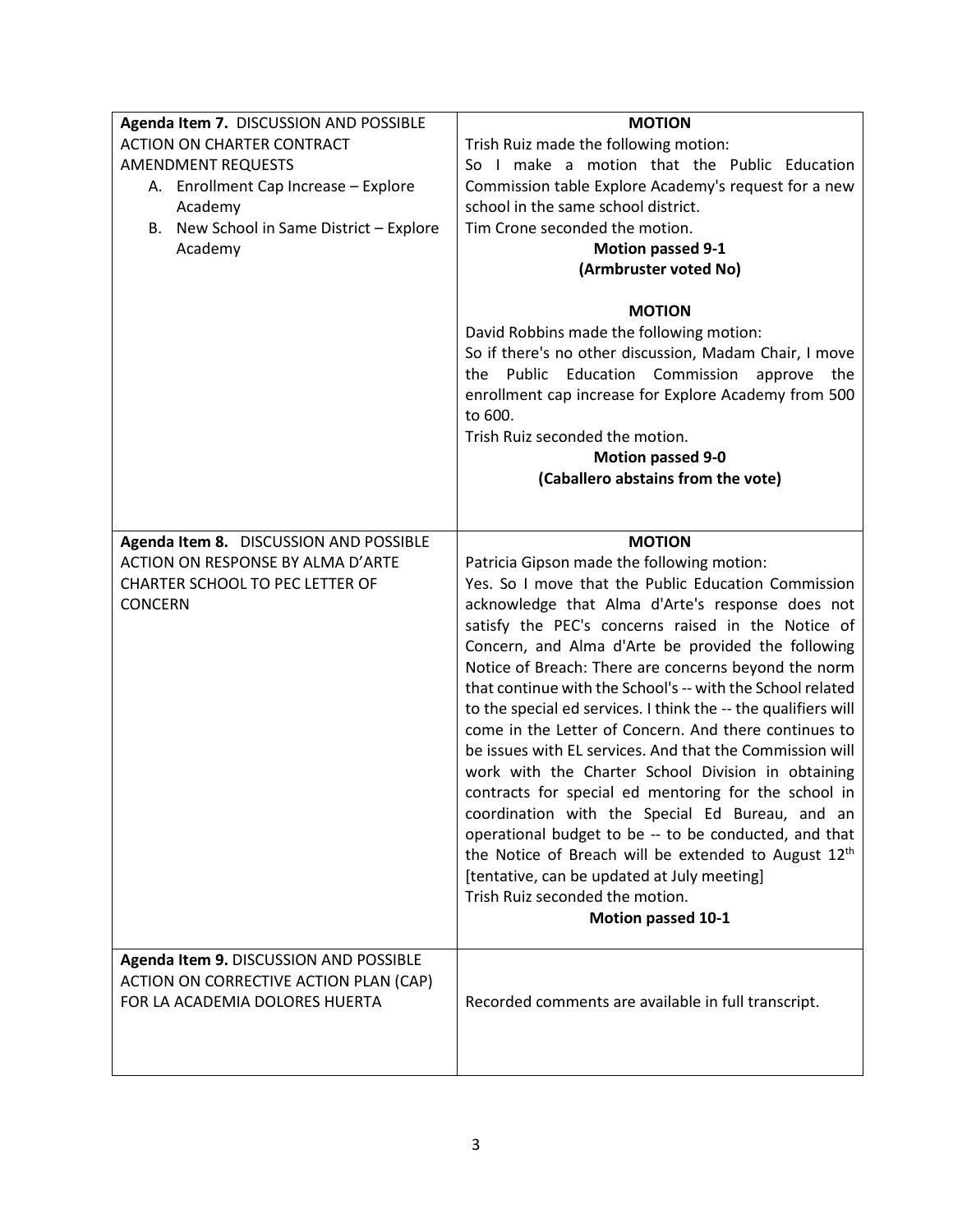| Agenda Item 7. DISCUSSION AND POSSIBLE<br><b>ACTION ON CHARTER CONTRACT</b> | <b>MOTION</b><br>Trish Ruiz made the following motion:           |
|-----------------------------------------------------------------------------|------------------------------------------------------------------|
| <b>AMENDMENT REQUESTS</b>                                                   | So I make a motion that the Public Education                     |
| A. Enrollment Cap Increase - Explore                                        | Commission table Explore Academy's request for a new             |
| Academy                                                                     | school in the same school district.                              |
| B. New School in Same District - Explore                                    | Tim Crone seconded the motion.                                   |
| Academy                                                                     | <b>Motion passed 9-1</b>                                         |
|                                                                             | (Armbruster voted No)                                            |
|                                                                             |                                                                  |
|                                                                             | <b>MOTION</b>                                                    |
|                                                                             | David Robbins made the following motion:                         |
|                                                                             | So if there's no other discussion, Madam Chair, I move           |
|                                                                             | the Public Education<br>Commission<br>approve<br>the             |
|                                                                             | enrollment cap increase for Explore Academy from 500             |
|                                                                             | to 600.                                                          |
|                                                                             | Trish Ruiz seconded the motion.                                  |
|                                                                             | <b>Motion passed 9-0</b>                                         |
|                                                                             | (Caballero abstains from the vote)                               |
|                                                                             |                                                                  |
| Agenda Item 8. DISCUSSION AND POSSIBLE                                      | <b>MOTION</b>                                                    |
| ACTION ON RESPONSE BY ALMA D'ARTE                                           | Patricia Gipson made the following motion:                       |
| <b>CHARTER SCHOOL TO PEC LETTER OF</b>                                      | Yes. So I move that the Public Education Commission              |
| <b>CONCERN</b>                                                              | acknowledge that Alma d'Arte's response does not                 |
|                                                                             | satisfy the PEC's concerns raised in the Notice of               |
|                                                                             | Concern, and Alma d'Arte be provided the following               |
|                                                                             | Notice of Breach: There are concerns beyond the norm             |
|                                                                             | that continue with the School's -- with the School related       |
|                                                                             | to the special ed services. I think the -- the qualifiers will   |
|                                                                             | come in the Letter of Concern. And there continues to            |
|                                                                             | be issues with EL services. And that the Commission will         |
|                                                                             | work with the Charter School Division in obtaining               |
|                                                                             | contracts for special ed mentoring for the school in             |
|                                                                             | coordination with the Special Ed Bureau, and an                  |
|                                                                             | operational budget to be -- to be conducted, and that            |
|                                                                             | the Notice of Breach will be extended to August 12 <sup>th</sup> |
|                                                                             | [tentative, can be updated at July meeting]                      |
|                                                                             | Trish Ruiz seconded the motion.                                  |
|                                                                             | Motion passed 10-1                                               |
|                                                                             |                                                                  |
| Agenda Item 9. DISCUSSION AND POSSIBLE                                      |                                                                  |
| ACTION ON CORRECTIVE ACTION PLAN (CAP)                                      |                                                                  |
| FOR LA ACADEMIA DOLORES HUERTA                                              | Recorded comments are available in full transcript.              |
|                                                                             |                                                                  |
|                                                                             |                                                                  |
|                                                                             |                                                                  |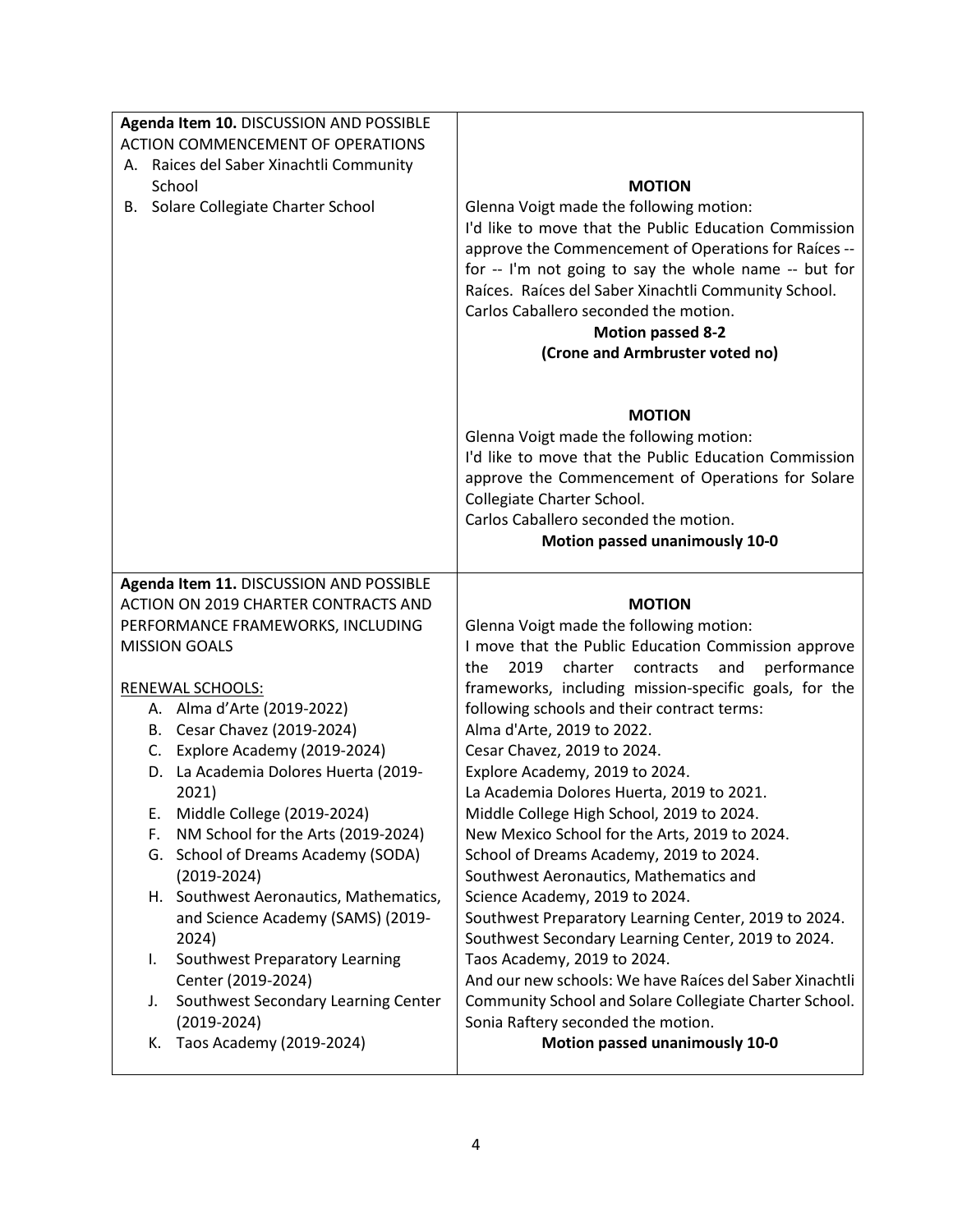| Agenda Item 10. DISCUSSION AND POSSIBLE                                              |                                                                                                                                                                                                                                                                                                                                                                                   |
|--------------------------------------------------------------------------------------|-----------------------------------------------------------------------------------------------------------------------------------------------------------------------------------------------------------------------------------------------------------------------------------------------------------------------------------------------------------------------------------|
| <b>ACTION COMMENCEMENT OF OPERATIONS</b>                                             |                                                                                                                                                                                                                                                                                                                                                                                   |
| A. Raices del Saber Xinachtli Community                                              |                                                                                                                                                                                                                                                                                                                                                                                   |
| School                                                                               | <b>MOTION</b>                                                                                                                                                                                                                                                                                                                                                                     |
| B. Solare Collegiate Charter School                                                  | Glenna Voigt made the following motion:<br>I'd like to move that the Public Education Commission<br>approve the Commencement of Operations for Raíces --<br>for -- I'm not going to say the whole name -- but for<br>Raíces. Raíces del Saber Xinachtli Community School.<br>Carlos Caballero seconded the motion.<br><b>Motion passed 8-2</b><br>(Crone and Armbruster voted no) |
|                                                                                      | <b>MOTION</b><br>Glenna Voigt made the following motion:<br>I'd like to move that the Public Education Commission<br>approve the Commencement of Operations for Solare<br>Collegiate Charter School.<br>Carlos Caballero seconded the motion.<br>Motion passed unanimously 10-0                                                                                                   |
| Agenda Item 11. DISCUSSION AND POSSIBLE                                              |                                                                                                                                                                                                                                                                                                                                                                                   |
|                                                                                      |                                                                                                                                                                                                                                                                                                                                                                                   |
| ACTION ON 2019 CHARTER CONTRACTS AND                                                 | <b>MOTION</b>                                                                                                                                                                                                                                                                                                                                                                     |
| PERFORMANCE FRAMEWORKS, INCLUDING                                                    | Glenna Voigt made the following motion:                                                                                                                                                                                                                                                                                                                                           |
| <b>MISSION GOALS</b>                                                                 | I move that the Public Education Commission approve                                                                                                                                                                                                                                                                                                                               |
|                                                                                      | 2019<br>charter<br>contracts<br>and<br>performance<br>the                                                                                                                                                                                                                                                                                                                         |
| <b>RENEWAL SCHOOLS:</b>                                                              | frameworks, including mission-specific goals, for the                                                                                                                                                                                                                                                                                                                             |
| A. Alma d'Arte (2019-2022)<br>B. Cesar Chavez (2019-2024)                            | following schools and their contract terms:<br>Alma d'Arte, 2019 to 2022.                                                                                                                                                                                                                                                                                                         |
| C. Explore Academy (2019-2024)                                                       | Cesar Chavez, 2019 to 2024.                                                                                                                                                                                                                                                                                                                                                       |
| D. La Academia Dolores Huerta (2019-                                                 | Explore Academy, 2019 to 2024.                                                                                                                                                                                                                                                                                                                                                    |
| 2021)                                                                                | La Academia Dolores Huerta, 2019 to 2021.                                                                                                                                                                                                                                                                                                                                         |
| Middle College (2019-2024)<br>E.                                                     | Middle College High School, 2019 to 2024.                                                                                                                                                                                                                                                                                                                                         |
| NM School for the Arts (2019-2024)<br>F.                                             | New Mexico School for the Arts, 2019 to 2024.                                                                                                                                                                                                                                                                                                                                     |
| G. School of Dreams Academy (SODA)<br>$(2019 - 2024)$                                | School of Dreams Academy, 2019 to 2024.<br>Southwest Aeronautics, Mathematics and                                                                                                                                                                                                                                                                                                 |
| H. Southwest Aeronautics, Mathematics,<br>and Science Academy (SAMS) (2019-<br>2024) | Science Academy, 2019 to 2024.<br>Southwest Preparatory Learning Center, 2019 to 2024.<br>Southwest Secondary Learning Center, 2019 to 2024.                                                                                                                                                                                                                                      |
| Southwest Preparatory Learning<br>I.                                                 | Taos Academy, 2019 to 2024.                                                                                                                                                                                                                                                                                                                                                       |
| Center (2019-2024)<br>Southwest Secondary Learning Center<br>J.                      | And our new schools: We have Raíces del Saber Xinachtli<br>Community School and Solare Collegiate Charter School.                                                                                                                                                                                                                                                                 |
| $(2019 - 2024)$<br>K. Taos Academy (2019-2024)                                       | Sonia Raftery seconded the motion.<br>Motion passed unanimously 10-0                                                                                                                                                                                                                                                                                                              |